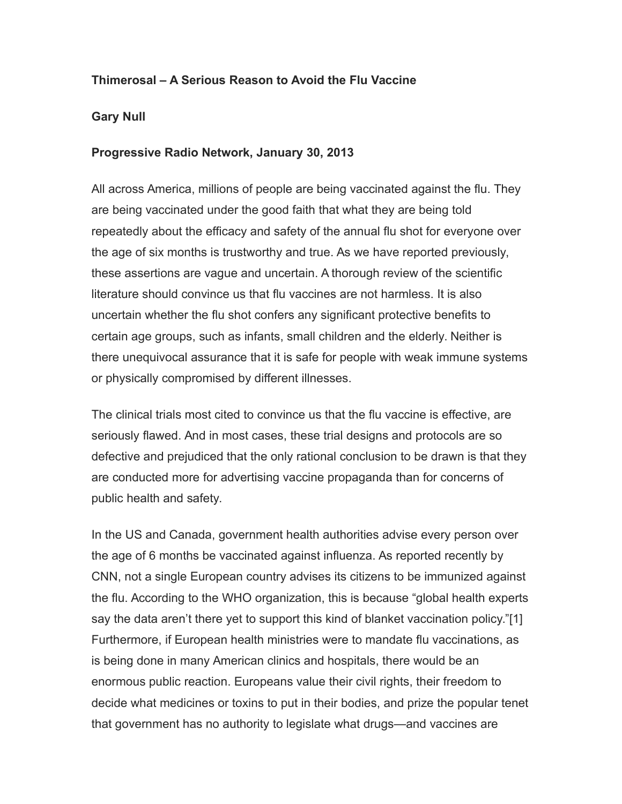## **Thimerosal – A Serious Reason to Avoid the Flu Vaccine**

## **Gary Null**

## **Progressive Radio Network, January 30, 2013**

All across America, millions of people are being vaccinated against the flu. They are being vaccinated under the good faith that what they are being told repeatedly about the efficacy and safety of the annual flu shot for everyone over the age of six months is trustworthy and true. As we have reported previously, these assertions are vague and uncertain. A thorough review of the scientific literature should convince us that flu vaccines are not harmless. It is also uncertain whether the flu shot confers any significant protective benefits to certain age groups, such as infants, small children and the elderly. Neither is there unequivocal assurance that it is safe for people with weak immune systems or physically compromised by different illnesses.

The clinical trials most cited to convince us that the flu vaccine is effective, are seriously flawed. And in most cases, these trial designs and protocols are so defective and prejudiced that the only rational conclusion to be drawn is that they are conducted more for advertising vaccine propaganda than for concerns of public health and safety.

In the US and Canada, government health authorities advise every person over the age of 6 months be vaccinated against influenza. As reported recently by CNN, not a single European country advises its citizens to be immunized against the flu. According to the WHO organization, this is because "global health experts say the data aren't there yet to support this kind of blanket vaccination policy."[1] Furthermore, if European health ministries were to mandate flu vaccinations, as is being done in many American clinics and hospitals, there would be an enormous public reaction. Europeans value their civil rights, their freedom to decide what medicines or toxins to put in their bodies, and prize the popular tenet that government has no authority to legislate what drugs—and vaccines are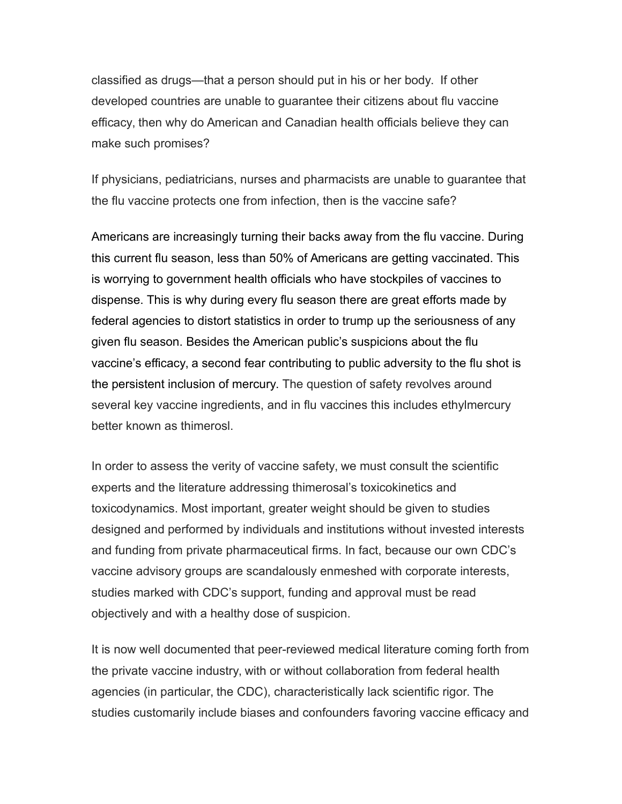classified as drugs—that a person should put in his or her body. If other developed countries are unable to guarantee their citizens about flu vaccine efficacy, then why do American and Canadian health officials believe they can make such promises?

If physicians, pediatricians, nurses and pharmacists are unable to guarantee that the flu vaccine protects one from infection, then is the vaccine safe?

Americans are increasingly turning their backs away from the flu vaccine. During this current flu season, less than 50% of Americans are getting vaccinated. This is worrying to government health officials who have stockpiles of vaccines to dispense. This is why during every flu season there are great efforts made by federal agencies to distort statistics in order to trump up the seriousness of any given flu season. Besides the American public's suspicions about the flu vaccine's efficacy, a second fear contributing to public adversity to the flu shot is the persistent inclusion of mercury. The question of safety revolves around several key vaccine ingredients, and in flu vaccines this includes ethylmercury better known as thimerosl.

In order to assess the verity of vaccine safety, we must consult the scientific experts and the literature addressing thimerosal's toxicokinetics and toxicodynamics. Most important, greater weight should be given to studies designed and performed by individuals and institutions without invested interests and funding from private pharmaceutical firms. In fact, because our own CDC's vaccine advisory groups are scandalously enmeshed with corporate interests, studies marked with CDC's support, funding and approval must be read objectively and with a healthy dose of suspicion.

It is now well documented that peer-reviewed medical literature coming forth from the private vaccine industry, with or without collaboration from federal health agencies (in particular, the CDC), characteristically lack scientific rigor. The studies customarily include biases and confounders favoring vaccine efficacy and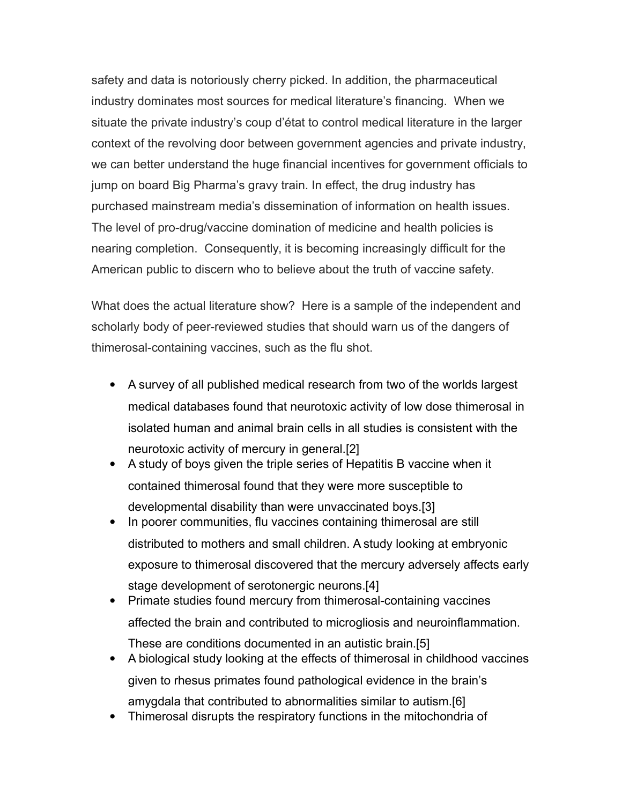safety and data is notoriously cherry picked. In addition, the pharmaceutical industry dominates most sources for medical literature's financing. When we situate the private industry's coup d'état to control medical literature in the larger context of the revolving door between government agencies and private industry, we can better understand the huge financial incentives for government officials to jump on board Big Pharma's gravy train. In effect, the drug industry has purchased mainstream media's dissemination of information on health issues. The level of pro-drug/vaccine domination of medicine and health policies is nearing completion. Consequently, it is becoming increasingly difficult for the American public to discern who to believe about the truth of vaccine safety.

What does the actual literature show? Here is a sample of the independent and scholarly body of peer-reviewed studies that should warn us of the dangers of thimerosal-containing vaccines, such as the flu shot.

- A survey of all published medical research from two of the worlds largest medical databases found that neurotoxic activity of low dose thimerosal in isolated human and animal brain cells in all studies is consistent with the neurotoxic activity of mercury in general.[2]
- A study of boys given the triple series of Hepatitis B vaccine when it contained thimerosal found that they were more susceptible to developmental disability than were unvaccinated boys.[3]
- In poorer communities, flu vaccines containing thimerosal are still distributed to mothers and small children. A study looking at embryonic exposure to thimerosal discovered that the mercury adversely affects early stage development of serotonergic neurons.[4]
- Primate studies found mercury from thimerosal-containing vaccines affected the brain and contributed to microgliosis and neuroinflammation. These are conditions documented in an autistic brain.[5]
- A biological study looking at the effects of thimerosal in childhood vaccines given to rhesus primates found pathological evidence in the brain's amygdala that contributed to abnormalities similar to autism.[6]
- Thimerosal disrupts the respiratory functions in the mitochondria of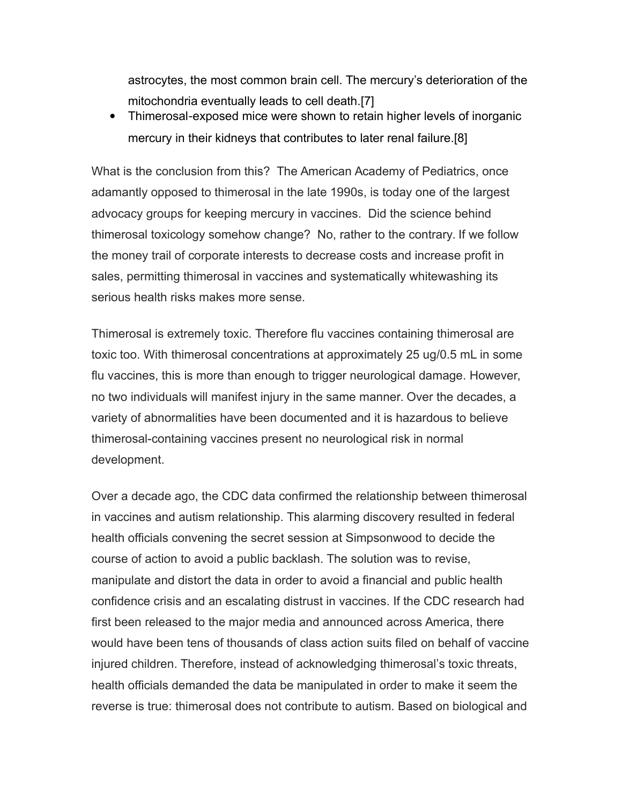astrocytes, the most common brain cell. The mercury's deterioration of the mitochondria eventually leads to cell death.[7]

 Thimerosal‐exposed mice were shown to retain higher levels of inorganic mercury in their kidneys that contributes to later renal failure.[8]

What is the conclusion from this? The American Academy of Pediatrics, once adamantly opposed to thimerosal in the late 1990s, is today one of the largest advocacy groups for keeping mercury in vaccines. Did the science behind thimerosal toxicology somehow change? No, rather to the contrary. If we follow the money trail of corporate interests to decrease costs and increase profit in sales, permitting thimerosal in vaccines and systematically whitewashing its serious health risks makes more sense.

Thimerosal is extremely toxic. Therefore flu vaccines containing thimerosal are toxic too. With thimerosal concentrations at approximately 25 ug/0.5 mL in some flu vaccines, this is more than enough to trigger neurological damage. However, no two individuals will manifest injury in the same manner. Over the decades, a variety of abnormalities have been documented and it is hazardous to believe thimerosal-containing vaccines present no neurological risk in normal development.

Over a decade ago, the CDC data confirmed the relationship between thimerosal in vaccines and autism relationship. This alarming discovery resulted in federal health officials convening the secret session at Simpsonwood to decide the course of action to avoid a public backlash. The solution was to revise, manipulate and distort the data in order to avoid a financial and public health confidence crisis and an escalating distrust in vaccines. If the CDC research had first been released to the major media and announced across America, there would have been tens of thousands of class action suits filed on behalf of vaccine injured children. Therefore, instead of acknowledging thimerosal's toxic threats, health officials demanded the data be manipulated in order to make it seem the reverse is true: thimerosal does not contribute to autism. Based on biological and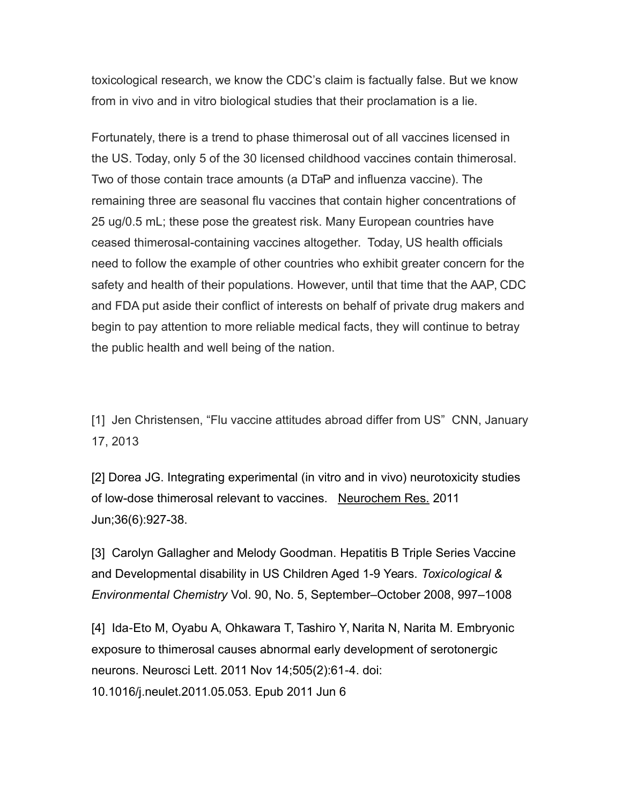toxicological research, we know the CDC's claim is factually false. But we know from in vivo and in vitro biological studies that their proclamation is a lie.

Fortunately, there is a trend to phase thimerosal out of all vaccines licensed in the US. Today, only 5 of the 30 licensed childhood vaccines contain thimerosal. Two of those contain trace amounts (a DTaP and influenza vaccine). The remaining three are seasonal flu vaccines that contain higher concentrations of 25 ug/0.5 mL; these pose the greatest risk. Many European countries have ceased thimerosal-containing vaccines altogether. Today, US health officials need to follow the example of other countries who exhibit greater concern for the safety and health of their populations. However, until that time that the AAP, CDC and FDA put aside their conflict of interests on behalf of private drug makers and begin to pay attention to more reliable medical facts, they will continue to betray the public health and well being of the nation.

[1] Jen Christensen, "Flu vaccine attitudes abroad differ from US" CNN, January 17, 2013

[2] Dorea JG. Integrating experimental (in vitro and in vivo) neurotoxicity studies of low-dose thimerosal relevant to vaccines. Neurochem Res. 2011 Jun;36(6):927-38.

[3] Carolyn Gallagher and Melody Goodman. Hepatitis B Triple Series Vaccine and Developmental disability in US Children Aged 1-9 Years. *Toxicological & Environmental Chemistry* Vol. 90, No. 5, September–October 2008, 997–1008

[4] Ida‐Eto M, Oyabu A, Ohkawara T, Tashiro Y, Narita N, Narita M. Embryonic exposure to thimerosal causes abnormal early development of serotonergic neurons. Neurosci Lett. 2011 Nov 14;505(2):61‐4. doi: 10.1016/j.neulet.2011.05.053. Epub 2011 Jun 6